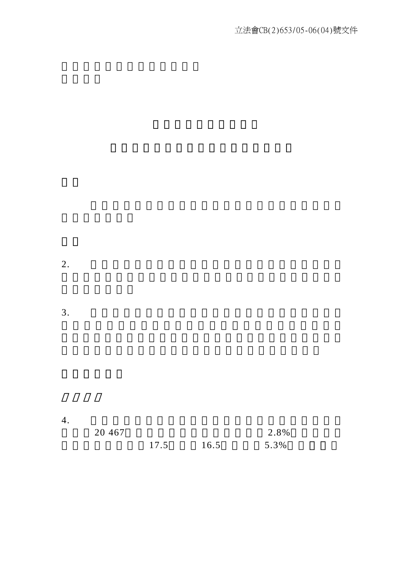$3.$ 

| 4.       |      |      |      |  |
|----------|------|------|------|--|
| 20 4 6 7 |      |      | 2.8% |  |
|          | 17.5 | 16.5 | 5.3% |  |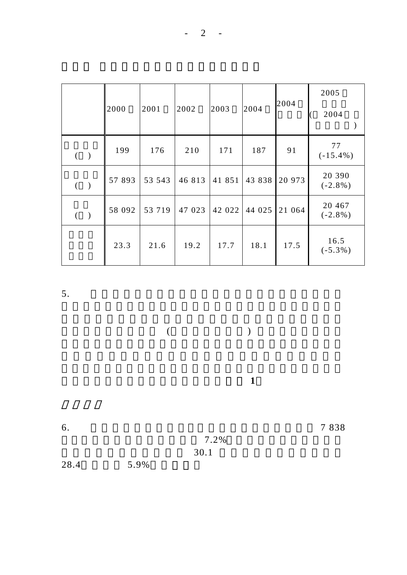|                     | 2000   | 2001   | 2002   | 2003   | 2004   | 2004   | 2005<br>2004           |
|---------------------|--------|--------|--------|--------|--------|--------|------------------------|
| $($ $)$             | 199    | 176    | 210    | 171    | 187    | 91     | 77<br>$(-15.4\%)$      |
| $($ $)$             | 57 893 | 53 543 | 46 813 | 41 851 | 43 838 | 20 973 | 20 390<br>$(-2.8\%)$   |
| $\big)$<br>$\left($ | 58 092 | 53 719 | 47 023 | 42 022 | 44 025 | 21 064 | 20 4 6 7<br>$(-2.8\%)$ |
|                     | 23.3   | 21.6   | 19.2   | 17.7   | 18.1   | 17.5   | 16.5<br>$(-5.3\%)$     |

 $($ 

職業傷亡個案的詳細分項數字載於附件 **1**

6.  $7838$ 

 $7.2\%$  $30.1$ 

28.4,跌幅為 5.9%。(表二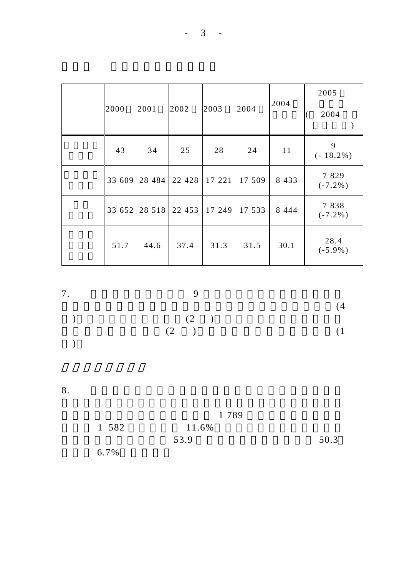| 2000   | 2001     | 2002    | 2003   | 2004   | 2004    | 2005<br>2004       |
|--------|----------|---------|--------|--------|---------|--------------------|
| 43     | 34       | 25      | 28     | 24     | 11      | 9<br>$(-18.2\%)$   |
| 33 609 | 28 4 8 4 | 22 4 28 | 17 221 | 17 509 | 8 4 3 3 | 7829<br>$(-7.2\%)$ |
| 33 652 | 28 5 18  | 22 453  | 17 249 | 17 533 | 8 4 4 4 | 7838<br>$(-7.2\%)$ |
| 51.7   | 44.6     | 37.4    | 31.3   | 31.5   | 30.1    | 28.4<br>$(-5.9\%)$ |

| 7.                       |            |     |
|--------------------------|------------|-----|
| $\overline{\phantom{a}}$ |            | (4) |
|                          | (2)<br>(2) | (1) |
| $\overline{\phantom{a}}$ |            |     |

意外數字由二零零四年上半年的 1 789 宗減少至二零零五年

| 1 582 | 11.6% |      |
|-------|-------|------|
|       | 53.9  | 50.3 |
| 6.7%  |       |      |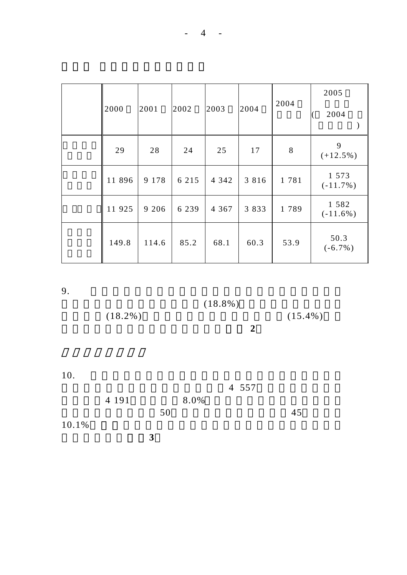| 2000   | 2001    | 2002    | 2003    | 2004    | 2004 | 2005<br>2004           |
|--------|---------|---------|---------|---------|------|------------------------|
| 29     | 28      | 24      | 25      | 17      | 8    | 9<br>$(+12.5\%)$       |
| 11 896 | 9 1 7 8 | 6 2 1 5 | 4 3 4 2 | 3 8 1 6 | 1781 | 1 573<br>$(-11.7\%)$   |
| 11 925 | 9 2 0 6 | 6 2 3 9 | 4 3 6 7 | 3 8 3 3 | 1789 | 1 5 8 2<br>$(-11.6\%)$ |
| 149.8  | 114.6   | 85.2    | 68.1    | 60.3    | 53.9 | 50.3<br>$(-6.7\%)$     |

 $(18.8\%)$   $(15.4\%)$ 

 $10.$ 

4 557  $4\,191\quad 8.0\%$  $50$  45  $10.1\%$ 分項數字載於附件**3**

 $(18.2\%)$ <br>2

意外類別劃分的詳細分項數字載於附件 **2**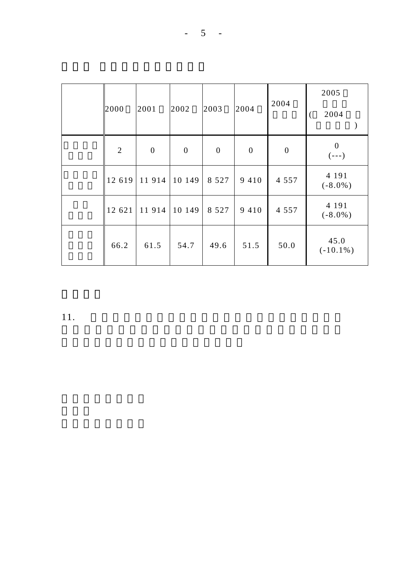| 2000           | 2001             | 2002             | 2003             | 2004             | 2004             | 2005<br>2004          |
|----------------|------------------|------------------|------------------|------------------|------------------|-----------------------|
| $\overline{2}$ | $\boldsymbol{0}$ | $\boldsymbol{0}$ | $\boldsymbol{0}$ | $\boldsymbol{0}$ | $\boldsymbol{0}$ | $\theta$<br>$(- - )$  |
| 12 619         | 11 914           | 10 149           | 8 5 2 7          | 9 4 1 0          | 4 5 5 7          | 4 1 9 1<br>$(-8.0\%)$ |
| 12 621         | 11914            | 10 149           | 8 5 2 7          | 9 4 1 0          | 4 5 5 7          | 4 1 9 1<br>$(-8.0\%)$ |
| 66.2           | 61.5             | 54.7             | 49.6             | 51.5             | 50.0             | 45.0<br>$(-10.1\%)$   |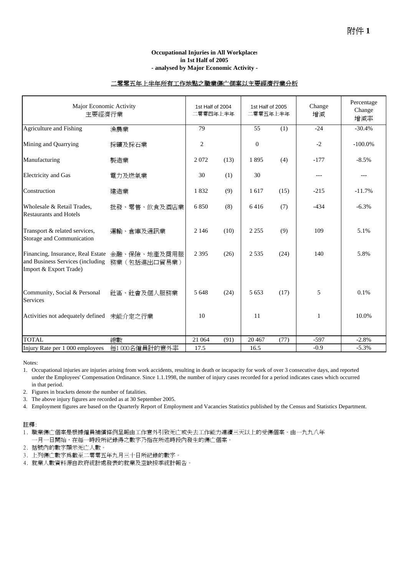### **Occupational Injuries in All Workplaces in 1st Half of 2005 - analysed by Major Economic Activity -**

### 二零零五年上半年所有工作地點之職業傷亡個案以主要經濟行業分析

| Major Economic Activity<br>主要經濟行業                                                               |                              |                | 1st Half of 2004<br>二零零四年上半年 |                  | 1st Half of 2005<br>二零零五年上半年 | Change<br>增減 | Percentage<br>Change<br>增減率 |
|-------------------------------------------------------------------------------------------------|------------------------------|----------------|------------------------------|------------------|------------------------------|--------------|-----------------------------|
| Agriculture and Fishing                                                                         | 漁農業                          | 79             |                              | 55               | (1)                          | $-24$        | $-30.4%$                    |
| Mining and Quarrying                                                                            | 採礦及採石業                       | $\mathfrak{2}$ |                              | $\boldsymbol{0}$ |                              | $-2$         | $-100.0\%$                  |
| Manufacturing                                                                                   | 製造業                          | 2072           | (13)                         | 1895             | (4)                          | $-177$       | $-8.5%$                     |
| <b>Electricity</b> and Gas                                                                      | 電力及燃氣業                       | 30             | (1)                          | 30               |                              | $---$        | $---$                       |
| Construction                                                                                    | 建造業                          | 1832           | (9)                          | 1617             | (15)                         | $-215$       | $-11.7%$                    |
| Wholesale & Retail Trades,<br><b>Restaurants and Hotels</b>                                     | 批發、零售、飲食及酒店業                 | 6850           | (8)                          | 6416             | (7)                          | $-434$       | $-6.3%$                     |
| Transport & related services,<br>Storage and Communication                                      | 運輸、倉庫及通訊業                    | 2 1 4 6        | (10)                         | 2 2 5 5          | (9)                          | 109          | 5.1%                        |
| Financing, Insurance, Real Estate<br>and Business Services (including<br>Import & Export Trade) | 金融、保險、地產及商用服<br>務業(包括進出口貿易業) | 2 3 9 5        | (26)                         | 2 5 3 5          | (24)                         | 140          | 5.8%                        |
| Community, Social & Personal<br><b>Services</b>                                                 | 社區、社會及個人服務業                  | 5 6 4 8        | (24)                         | 5 6 5 3          | (17)                         | 5            | 0.1%                        |
| Activities not adequately defined                                                               | 未能介定之行業                      | 10             |                              | 11               |                              | 1            | 10.0%                       |
| <b>TOTAL</b>                                                                                    | 總數                           | 21 064         | (91)                         | 20 4 67          | (77)                         | $-597$       | $-2.8%$                     |
| Injury Rate per 1 000 employees                                                                 | 每1000名僱員計的意外率                | 17.5           |                              | 16.5             |                              | $-0.9$       | $-5.3%$                     |

Notes:

2. Figures in brackets denote the number of fatalities.

3. The above injury figures are recorded as at 30 September 2005.

4. Employment figures are based on the Quarterly Report of Employment and Vacancies Statistics published by the Census and Statistics Department.

#### 註釋:

1. 職業傷亡個案是根據僱員補償條例呈報由工作意外引致死亡或失去工作能力連續三天以上的受傷個案。由一九九八年 一月一日開始,在每一時段所紀錄得之數字乃指在所述時段內發生的傷亡個案。

2. 括號內的數字顯示死亡人數。

- 3. 上列傷亡數字為截至二零零五年九月三十日所紀錄的數字。
- 4. 就業人數資料源自政府統計處發表的就業及空缺按季統計報告。

<sup>1.</sup> Occupational injuries are injuries arising from work accidents, resulting in death or incapacity for work of over 3 consecutive days, and reported under the Employees' Compensation Ordinance. Since 1.1.1998, the number of injury cases recorded for a period indicates cases which occurred in that period.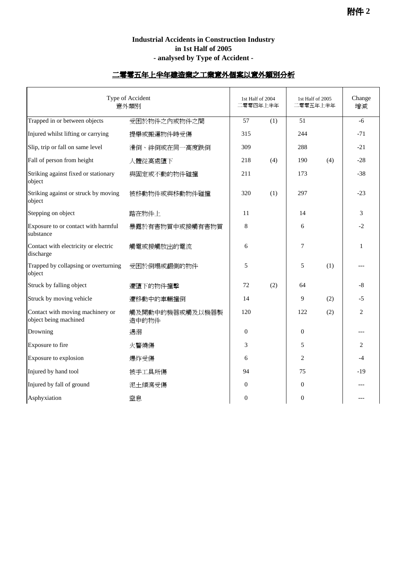# **Industrial Accidents in Construction Industry in 1st Half of 2005 - analysed by Type of Accident -**

# 二零零五年上半年建造業之工業意外個案以意外類別分析

| Type of Accident<br>意外類別                                  |                          |          | 1st Half of 2004<br>二零零四年上半年 |                 | 1st Half of 2005<br>二零零五年上半年 |                |
|-----------------------------------------------------------|--------------------------|----------|------------------------------|-----------------|------------------------------|----------------|
| Trapped in or between objects                             | 受困於物件之內或物件之間             | 57       | (1)                          | $\overline{51}$ |                              | $-6$           |
| Injured whilst lifting or carrying                        | 提舉或搬運物件時受傷               | 315      |                              | 244             |                              | $-71$          |
| Slip, trip or fall on same level                          | 滑倒、絆倒或在同一高度跌倒            | 309      |                              | 288             |                              | $-21$          |
| Fall of person from height                                | 人體從高處墮下                  | 218      | (4)                          | 190             | (4)                          | $-28$          |
| Striking against fixed or stationary<br>object            | 與固定或不動的物件碰撞              | 211      |                              | 173             |                              | $-38$          |
| Striking against or struck by moving<br>object            | 被移動物件或與移動物件碰撞            | 320      | (1)                          | 297             |                              | $-23$          |
| Stepping on object                                        | 踏在物件上                    | 11       |                              | 14              |                              | 3              |
| Exposure to or contact with harmful<br>substance          | 暴露於有害物質中或接觸有害物質          | 8        |                              | 6               |                              | $-2$           |
| Contact with electricity or electric<br>discharge         | 觸電或接觸放出的電流               | 6        |                              | 7               |                              | 1              |
| Trapped by collapsing or overturning<br>object            | 受困於倒塌或翻側的物件              | 5        |                              | 5               | (1)                          |                |
| Struck by falling object                                  | 遭墮下的物件撞擊                 | 72       | (2)                          | 64              |                              | $-8$           |
| Struck by moving vehicle                                  | 遭移動中的車輛撞倒                | 14       |                              | 9               | (2)                          | $-5$           |
| Contact with moving machinery or<br>object being machined | 觸及開動中的機器或觸及以機器製<br>造中的物件 | 120      |                              | 122             | (2)                          | $\overline{c}$ |
| Drowning                                                  | 遇溺                       | $\Omega$ |                              | $\theta$        |                              |                |
| Exposure to fire                                          | 火警燒傷                     | 3        |                              | 5               |                              | 2              |
| Exposure to explosion                                     | 爆炸受傷                     | 6        |                              | $\overline{2}$  |                              | $-4$           |
| Injured by hand tool                                      | 被手工具所傷                   | 94       |                              | 75              |                              | -19            |
| Injured by fall of ground                                 | 泥土傾瀉受傷                   | $\Omega$ |                              | $\theta$        |                              |                |
| Asphyxiation                                              | 窒息                       | $\theta$ |                              | $\overline{0}$  |                              |                |